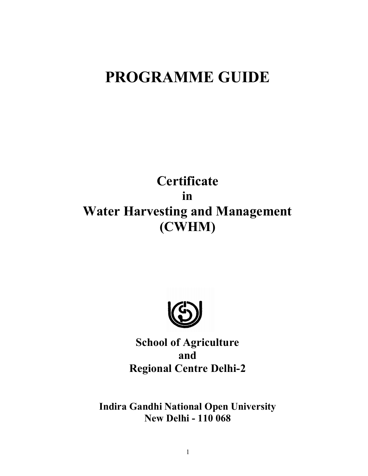# **PROGRAMME GUIDE**

# **Certificate in Water Harvesting and Management (CWHM)**



**School of Agriculture and Regional Centre Delhi-2**

**Indira Gandhi National Open University New Delhi - 110 068**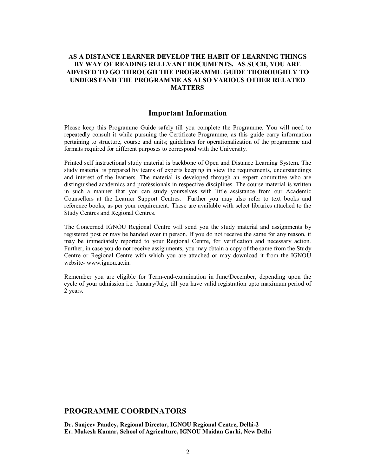#### **AS A DISTANCE LEARNER DEVELOP THE HABIT OF LEARNING THINGS BY WAY OF READING RELEVANT DOCUMENTS. AS SUCH, YOU ARE ADVISED TO GO THROUGH THE PROGRAMME GUIDE THOROUGHLY TO UNDERSTAND THE PROGRAMME AS ALSO VARIOUS OTHER RELATED MATTERS**

#### **Important Information**

Please keep this Programme Guide safely till you complete the Programme. You will need to repeatedly consult it while pursuing the Certificate Programme, as this guide carry information pertaining to structure, course and units; guidelines for operationalization of the programme and formats required for different purposes to correspond with the University.

Printed self instructional study material is backbone of Open and Distance Learning System. The study material is prepared by teams of experts keeping in view the requirements, understandings and interest of the learners. The material is developed through an expert committee who are distinguished academics and professionals in respective disciplines. The course material is written in such a manner that you can study yourselves with little assistance from our Academic Counsellors at the Learner Support Centres. Further you may also refer to text books and reference books, as per your requirement. These are available with select libraries attached to the Study Centres and Regional Centres.

The Concerned IGNOU Regional Centre will send you the study material and assignments by registered post or may be handed over in person. If you do not receive the same for any reason, it may be immediately reported to your Regional Centre, for verification and necessary action. Further, in case you do not receive assignments, you may obtain a copy of the same from the Study Centre or Regional Centre with which you are attached or may download it from the IGNOU website- www.ignou.ac.in.

Remember you are eligible for Term-end-examination in June/December, depending upon the cycle of your admission i.e. January/July, till you have valid registration upto maximum period of 2 years.

## **PROGRAMME COORDINATORS**

**Dr. Sanjeev Pandey, Regional Director, IGNOU Regional Centre, Delhi-2 Er. Mukesh Kumar, School of Agriculture, IGNOU Maidan Garhi, New Delhi**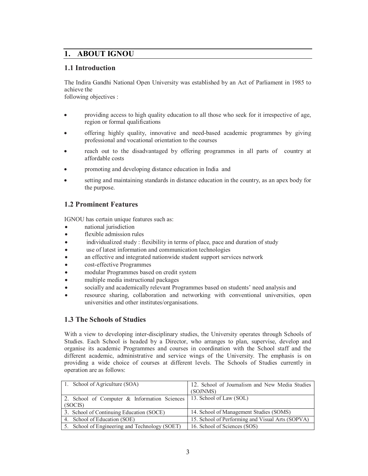## **1. ABOUT IGNOU**

## **1.1 Introduction**

The Indira Gandhi National Open University was established by an Act of Parliament in 1985 to achieve the following objectives :

 providing access to high quality education to all those who seek for it irrespective of age, region or formal qualifications

- offering highly quality, innovative and need-based academic programmes by giving professional and vocational orientation to the courses
- reach out to the disadvantaged by offering programmes in all parts of country at affordable costs
- promoting and developing distance education in India and
- setting and maintaining standards in distance education in the country, as an apex body for the purpose.

## **1.2 Prominent Features**

IGNOU has certain unique features such as:

- national jurisdiction
- flexible admission rules
- individualized study : flexibility in terms of place, pace and duration of study
- use of latest information and communication technologies
- an effective and integrated nationwide student support services network
- cost-effective Programmes
- modular Programmes based on credit system
- multiple media instructional packages
- socially and academically relevant Programmes based on students' need analysis and
- resource sharing, collaboration and networking with conventional universities, open universities and other institutes/organisations.

## **1.3 The Schools of Studies**

With a view to developing inter-disciplinary studies, the University operates through Schools of Studies. Each School is headed by a Director, who arranges to plan, supervise, develop and organise its academic Programmes and courses in coordination with the School staff and the different academic, administrative and service wings of the University. The emphasis is on providing a wide choice of courses at different levels. The Schools of Studies currently in operation are as follows:

| 1. School of Agriculture (SOA)                 | 12. School of Journalism and New Media Studies   |  |
|------------------------------------------------|--------------------------------------------------|--|
|                                                | (SOJNMS)                                         |  |
| 2. School of Computer & Information Sciences   | 13. School of Law (SOL)                          |  |
| (SOCIS)                                        |                                                  |  |
| 3. School of Continuing Education (SOCE)       | 14. School of Management Studies (SOMS)          |  |
| 4. School of Education (SOE)                   | 15. School of Performing and Visual Arts (SOPVA) |  |
| 5. School of Engineering and Technology (SOET) | 16. School of Sciences (SOS)                     |  |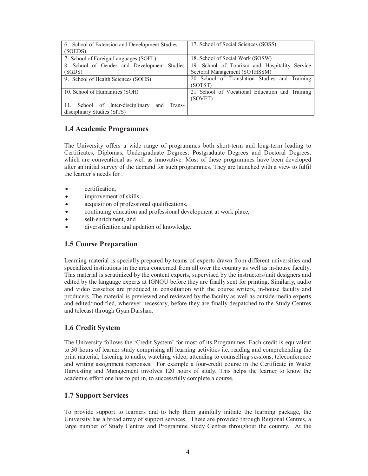| 6. School of Extension and Development Studies<br>(SOEDS)                        | 17. School of Social Sciences (SOSS)                                           |  |
|----------------------------------------------------------------------------------|--------------------------------------------------------------------------------|--|
| 7. School of Foreign Languages (SOFL)                                            | 18. School of Social Work (SOSW)                                               |  |
| 8. School of Gender and Development Studies<br>(SGDS)                            | 19. School of Tourism and Hospitality Service<br>Sectoral Management (SOTHSSM) |  |
| 9. School of Health Sciences (SOHS)                                              | 20 School of Translation Studies and Training<br>(SOTST)                       |  |
| 10. School of Humanities (SOH)                                                   | 21 School of Vocational Education and Training<br>(SOVET)                      |  |
| 11. School of Inter-disciplinary<br>and<br>Trans-<br>disciplinary Studies (SITS) |                                                                                |  |

## **1.4 Academic Programmes**

The University offers a wide range of programmes both short-term and long-term leading to Certificates, Diplomas, Undergraduate Degrees, Postgraduate Degrees and Doctoral Degrees, which are conventional as well as innovative. Most of these programmes have been developed after an initial survey of the demand for such programmes. They are launched with a view to fulfil the learner's needs for :

- certification,
- improvement of skills,
- acquisition of professional qualifications,
- continuing education and professional development at work place,
- self-enrichment, and
- diversification and updation of knowledge.

## **1.5 Course Preparation**

Learning material is specially prepared by teams of experts drawn from different universities and specialized institutions in the area concerned from all over the country as well as in-house faculty. This material is scrutinized by the content experts, supervised by the instructors/unit designers and edited by the language experts at IGNOU before they are finally sent for printing. Similarly, audio and video cassettes are produced in consultation with the course writers, in-house faculty and producers. The material is previewed and reviewed by the faculty as well as outside media experts and edited/modified, wherever necessary, before they are finally despatched to the Study Centres and telecast through Gyan Darshan.

## **1.6 Credit System**

The University follows the 'Credit System' for most of its Programmes. Each credit is equivalent to 30 hours of learner study comprising all learning activities i.e. reading and comprehending the print material, listening to audio, watching video, attending to counselling sessions, teleconference and writing assignment responses. For example a four-credit course in the Certificate in Water Harvesting and Management involves 120 hours of study. This helps the learner to know the academic effort one has to put in, to successfully complete a course.

#### **1.7 Support Services**

To provide support to learners and to help them gainfully initiate the learning package, the University has a broad array of support services. These are provided through Regional Centres, a large number of Study Centres and Programme Study Centres throughout the country. At the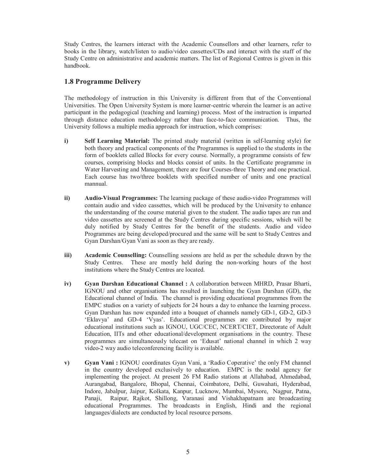Study Centres, the learners interact with the Academic Counsellors and other learners, refer to books in the library, watch/listen to audio/video cassettes/CDs and interact with the staff of the Study Centre on administrative and academic matters. The list of Regional Centres is given in this handbook.

## **1.8 Programme Delivery**

The methodology of instruction in this University is different from that of the Conventional Universities. The Open University System is more learner-centric wherein the learner is an active participant in the pedagogical (teaching and learning) process. Most of the instruction is imparted through distance education methodology rather than face-to-face communication. Thus, the University follows a multiple media approach for instruction, which comprises:

- **i) Self Learning Material:** The printed study material (written in self-learning style) for both theory and practical components of the Programmes is supplied to the students in the form of booklets called Blocks for every course. Normally, a programme consists of few courses, comprising blocks and blocks consist of units. In the Certificate programme in Water Harvesting and Management, there are four Courses-three Theory and one practical. Each course has two/three booklets with specified number of units and one practical mannual.
- **ii) Audio-Visual Programmes:** The learning package of these audio-video Programmes will contain audio and video cassettes, which will be produced by the University to enhance the understanding of the course material given to the student. The audio tapes are run and video cassettes are screened at the Study Centres during specific sessions, which will be duly notified by Study Centres for the benefit of the students. Audio and video Programmes are being developed/procured and the same will be sent to Study Centres and Gyan Darshan/Gyan Vani as soon as they are ready.
- **iii)** Academic Counselling: Counselling sessions are held as per the schedule drawn by the Study Centres. These are mostly held during the non-working hours of the host institutions where the Study Centres are located.
- **iv) Gyan Darshan Educational Channel :** A collaboration between MHRD, Prasar Bharti, IGNOU and other organisations has resulted in launching the Gyan Darshan (GD), the Educational channel of India. The channel is providing educational programmes from the EMPC studios on a variety of subjects for 24 hours a day to enhance the learning process. Gyan Darshan has now expanded into a bouquet of channels namely GD-1, GD-2, GD-3 'Eklavya' and GD-4 'Vyas'. Educational programmes are contributed by major educational institutions such as IGNOU, UGC/CEC, NCERT/CIET, Directorate of Adult Education, IITs and other educational/development organisations in the country. These programmes are simultaneously telecast on 'Edusat' national channel in which 2 way video-2 way audio teleconferencing facility is available.
- **v)** Gyan Vani : IGNOU coordinates Gyan Vani, a 'Radio Coperative' the only FM channel in the country developed exclusively to education. EMPC is the nodal agency for implementing the project. At present 26 FM Radio stations at Allahabad, Ahmedabad, Aurangabad, Bangalore, Bhopal, Chennai, Coimbatore, Delhi, Guwahati, Hyderabad, Indore, Jabalpur, Jaipur, Kolkata, Kanpur, Lucknow, Mumbai, Mysore, Nagpur, Patna, Panaji, Raipur, Rajkot, Shillong, Varanasi and Vishakhapatnam are broadcasting educational Programmes. The broadcasts in English, Hindi and the regional languages/dialects are conducted by local resource persons.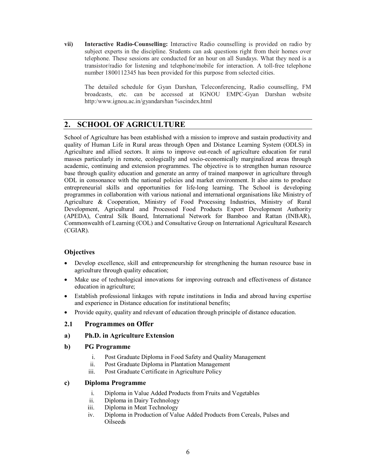**vii) Interactive Radio-Counselling:** Interactive Radio counselling is provided on radio by subject experts in the discipline. Students can ask questions right from their homes over telephone. These sessions are conducted for an hour on all Sundays. What they need is a transistor/radio for listening and telephone/mobile for interaction. A toll-free telephone number 1800112345 has been provided for this purpose from selected cities.

The detailed schedule for Gyan Darshan, Teleconferencing, Radio counselling, FM broadcasts, etc. can be accessed at IGNOU EMPC-Gyan Darshan website http:/www.ignou.ac.in/gyandarshan %scindex.html

# **2. SCHOOL OF AGRICULTURE**

School of Agriculture has been established with a mission to improve and sustain productivity and quality of Human Life in Rural areas through Open and Distance Learning System (ODLS) in Agriculture and allied sectors. It aims to improve out-reach of agriculture education for rural masses particularly in remote, ecologically and socio-economically marginalized areas through academic, continuing and extension programmes. The objective is to strengthen human resource base through quality education and generate an army of trained manpower in agriculture through ODL in consonance with the national policies and market environment. It also aims to produce entrepreneurial skills and opportunities for life-long learning. The School is developing programmes in collaboration with various national and international organisations like Ministry of Agriculture & Cooperation, Ministry of Food Processing Industries, Ministry of Rural Development, Agricultural and Processed Food Products Export Development Authority (APEDA), Central Silk Board, International Network for Bamboo and Rattan (INBAR), Commonwealth of Learning (COL) and Consultative Group on International Agricultural Research (CGIAR).

## **Objectives**

- Develop excellence, skill and entrepreneurship for strengthening the human resource base in agriculture through quality education;
- Make use of technological innovations for improving outreach and effectiveness of distance education in agriculture;
- Establish professional linkages with repute institutions in India and abroad having expertise and experience in Distance education for institutional benefits;
- Provide equity, quality and relevant of education through principle of distance education.

#### **2.1 Programmes on Offer**

#### **a) Ph.D. in Agriculture Extension**

#### **b) PG Programme**

- i. Post Graduate Diploma in Food Safety and Quality Management
- ii. Post Graduate Diploma in Plantation Management
- iii. Post Graduate Certificate in Agriculture Policy

#### **c) Diploma Programme**

- i. Diploma in Value Added Products from Fruits and Vegetables
- ii. Diploma in Dairy Technology
- iii. Diploma in Meat Technology
- iv. Diploma in Production of Value Added Products from Cereals, Pulses and Oilseeds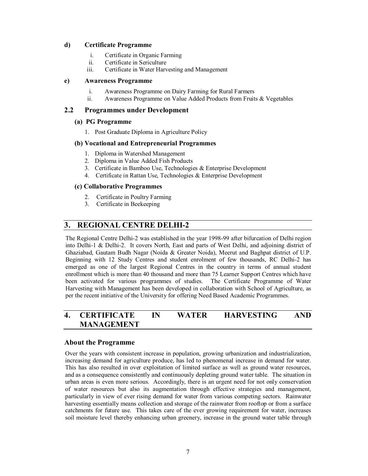#### **d) Certificate Programme**

- i. Certificate in Organic Farming
- ii. Certificate in Sericulture<br>iii. Certificate in Water Harv
- Certificate in Water Harvesting and Management

#### **e) Awareness Programme**

- i. Awareness Programme on Dairy Farming for Rural Farmers
- ii. Awareness Programme on Value Added Products from Fruits & Vegetables

#### **2.2 Programmes under Development**

#### **(a) PG Programme**

1. Post Graduate Diploma in Agriculture Policy

#### **(b) Vocational and Entrepreneurial Programmes**

- 1. Diploma in Watershed Management
- 2. Diploma in Value Added Fish Products
- 3. Certificate in Bamboo Use, Technologies & Enterprise Development
- 4. Certificate in Rattan Use, Technologies & Enterprise Development

#### **(c) Collaborative Programmes**

- 2. Certificate in Poultry Farming
- 3. Certificate in Beekeeping

## **3. REGIONAL CENTRE DELHI-2**

The Regional Centre Delhi-2 was established in the year 1998-99 after bifurcation of Delhi region into Delhi-1 & Delhi-2. It covers North, East and parts of West Delhi, and adjoining district of Ghaziabad, Gautam Budh Nagar (Noida & Greater Noida), Meerut and Baghpat district of U.P. Beginning with 12 Study Centres and student enrolment of few thousands, RC Delhi-2 has emerged as one of the largest Regional Centres in the country in terms of annual student enrollment which is more than 40 thousand and more than 75 Learner Support Centres which have<br>been activated for various programmes of studies. The Certificate Programme of Water been activated for various programmes of studies. Harvesting with Management has been developed in collaboration with School of Agriculture, as per the recent initiative of the University for offering Need Based Academic Programmes.

# **4. CERTIFICATE IN WATER HARVESTING AND MANAGEMENT**

#### **About the Programme**

Over the years with consistent increase in population, growing urbanization and industrialization, increasing demand for agriculture produce, has led to phenomenal increase in demand for water. This has also resulted in over exploitation of limited surface as well as ground water resources, and as a consequence consistently and continuously depleting ground water table. The situation in urban areas is even more serious. Accordingly, there is an urgent need for not only conservation of water resources but also its augmentation through effective strategies and management, particularly in view of ever rising demand for water from various competing sectors. Rainwater harvesting essentially means collection and storage of the rainwater from rooftop or from a surface catchments for future use. This takes care of the ever growing requirement for water, increases soil moisture level thereby enhancing urban greenery, increase in the ground water table through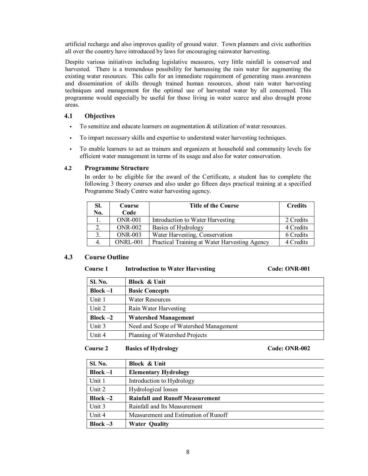artificial recharge and also improves quality of ground water. Town planners and civic authorities all over the country have introduced by laws for encouraging rainwater harvesting.

Despite various initiatives including legislative measures, very little rainfall is conserved and harvested. There is a tremendous possibility for harnessing the rain water for augmenting the existing water resources. This calls for an immediate requirement of generating mass awareness and dissemination of skills through trained human resources, about rain water harvesting techniques and management for the optimal use of harvested water by all concerned. This programme would especially be useful for those living in water scarce and also drought prone areas.

## **4.1 Objectives**

- To sensitize and educate learners on augmentation  $\&$  utilization of water resources.
- To impart necessary skills and expertise to understand water harvesting techniques.
- To enable learners to act as trainers and organizers at household and community levels for efficient water management in terms of its usage and also for water conservation.

#### **4.2 Programme Structure**

In order to be eligible for the award of the Certificate, a student has to complete the following 3 theory courses and also under go fifteen days practical training at a specified Programme Study Centre water harvesting agency.

| SI. | Course         | <b>Title of the Course</b>                    | <b>Credits</b> |
|-----|----------------|-----------------------------------------------|----------------|
| No. | Code           |                                               |                |
|     | <b>ONR-001</b> | Introduction to Water Harvesting              | 2 Credits      |
|     | $ONR-002$      | Basics of Hydrology                           | 4 Credits      |
|     | <b>ONR-003</b> | Water Harvesting, Conservation                | 6 Credits      |
|     | ONRL-001       | Practical Training at Water Harvesting Agency | 4 Credits      |

#### **4.3 Course Outline**

#### Course 1 Introduction to Water Harvesting Code: ONR-001

| <b>Sl. No.</b> | Block & Unit                           |
|----------------|----------------------------------------|
| Block $-1$     | <b>Basic Concepts</b>                  |
| Unit 1         | <b>Water Resources</b>                 |
| Unit 2         | Rain Water Harvesting                  |
| Block $-2$     | <b>Watershed Management</b>            |
| Unit 3         | Need and Scope of Watershed Management |
| Unit 4         | Planning of Watershed Projects         |

**Course 2 Basics of Hydrology Code: ONR-002**

| <b>Sl. No.</b> | <b>Block &amp; Unit</b>                |
|----------------|----------------------------------------|
| $Block -1$     | <b>Elementary Hydrology</b>            |
| Unit 1         | Introduction to Hydrology              |
| Unit 2         | Hydrological losses                    |
| $Block -2$     | <b>Rainfall and Runoff Measurement</b> |
| Unit 3         | Rainfall and Its Measurement           |
| Unit 4         | Measurement and Estimation of Runoff   |
| $Block -3$     | <b>Water Quality</b>                   |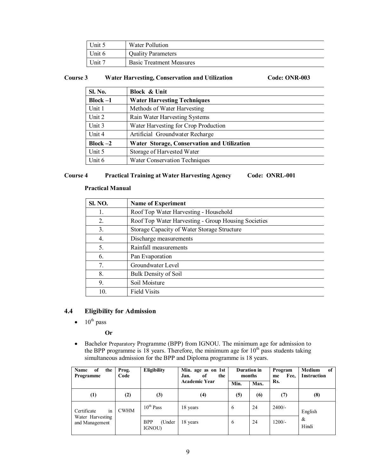| Unit 5 | Water Pollution                 |
|--------|---------------------------------|
| Unit 6 | <b>Quality Parameters</b>       |
| Unit 7 | <b>Basic Treatment Measures</b> |

#### **Course 3 Water Harvesting, Conservation and Utilization Code: ONR-003**

| <b>Sl. No.</b> | <b>Block &amp; Unit</b>                     |
|----------------|---------------------------------------------|
| $Block -1$     | <b>Water Harvesting Techniques</b>          |
| Unit 1         | Methods of Water Harvesting                 |
| Unit 2         | Rain Water Harvesting Systems               |
| Unit 3         | Water Harvesting for Crop Production        |
| Unit 4         | Artificial Groundwater Recharge             |
| $Block -2$     | Water Storage, Conservation and Utilization |
| Unit 5         | Storage of Harvested Water                  |
| Unit 6         | <b>Water Conservation Techniques</b>        |

#### **Course 4 Practical Training at Water Harvesting Agency Code: ONRL-001**

#### **Practical Manual**

| <b>SI. NO.</b> | <b>Name of Experiment</b>                           |
|----------------|-----------------------------------------------------|
| 1.             | Roof Top Water Harvesting - Household               |
| 2.             | Roof Top Water Harvesting - Group Housing Societies |
| 3.             | Storage Capacity of Water Storage Structure         |
| 4.             | Discharge measurements                              |
| 5.             | Rainfall measurements                               |
| 6.             | Pan Evaporation                                     |
| 7.             | Groundwater Level                                   |
| 8.             | Bulk Density of Soil                                |
| 9.             | Soil Moisture                                       |
| 10.            | <b>Field Visits</b>                                 |

## **4.4 Eligibility for Admission**

 $\bullet$  10<sup>th</sup> pass

#### **Or**

 Bachelor Preparatory Programme (BPP) from IGNOU. The minimum age for admission to the BPP programme is 18 years. Therefore, the minimum age for  $10<sup>th</sup>$  pass students taking simultaneous admission for the BPP and Diploma programme is 18 years.

| of<br><b>Name</b><br>the<br>Programme | Prog.<br>Code | Eligibility                          | Min. age as on 1st<br>Jan.<br>оf<br>the | <b>Duration</b> in<br>months |      | Program<br>Fee.<br>me | <b>Medium</b><br>of<br><b>Instruction</b> |
|---------------------------------------|---------------|--------------------------------------|-----------------------------------------|------------------------------|------|-----------------------|-------------------------------------------|
|                                       |               |                                      | <b>Academic Year</b>                    | Min.                         | Max. | Rs.                   |                                           |
| $\left(1\right)$                      | (2)           | (3)                                  | (4)                                     | (5)                          | (6)  | (7)                   | (8)                                       |
| in<br>Certificate                     | <b>CWHM</b>   | $10^{th}$ Pass                       | 18 years                                | 6                            | 24   | $2400/-$              | English                                   |
| Water Harvesting<br>and Management    |               | <b>BPP</b><br>(Under<br><b>IGNOU</b> | 18 years                                | 6                            | 24   | $1200/-$              | &<br>Hindi                                |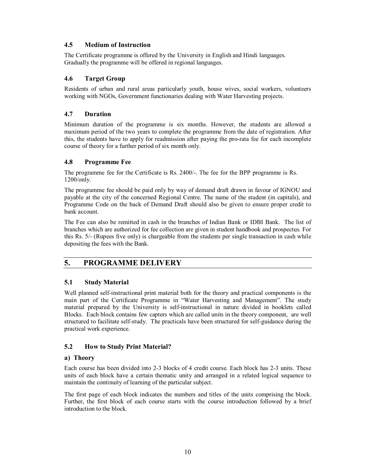## **4.5 Medium of Instruction**

The Certificate programme is offered by the University in English and Hindi languages. Gradually the programme will be offered in regional languages.

## **4.6 Target Group**

Residents of urban and rural areas particularly youth, house wives, social workers, volunteers working with NGOs, Government functionaries dealing with Water Harvesting projects.

## **4.7 Duration**

Minimum duration of the programme is six months. However, the students are allowed a maximum period of the two years to complete the programme from the date of registration. After this, the students have to apply for readmission after paying the pro-rata fee for each incomplete course of theory for a further period of six month only.

## **4.8 Programme Fee**

The programme fee for the Certificate is Rs. 2400/-. The fee for the BPP programme is Rs. 1200/only.

The programme fee should be paid only by way of demand draft drawn in favour of IGNOU and payable at the city of the concerned Regional Centre. The name of the student (in capitals), and Programme Code on the back of Demand Draft should also be given to ensure proper credit to bank account.

The Fee can also be remitted in cash in the branches of Indian Bank or IDBI Bank. The list of branches which are authorized for fee collection are given in student handbook and prospectus. For this Rs. 5/- (Rupees five only) is chargeable from the students per single transaction in cash while depositing the fees with the Bank.

#### **5. PROGRAMME DELIVERY**

#### **5.1 Study Material**

 structured to facilitate self-study. The practicals have been structured for self-guidance during the Well planned self-instructional print material both for the theory and practical components is the main part of the Certificate Programme in "Water Harvesting and Management". The study material prepared by the University is self-instructional in nature divided in booklets called Blocks. Each block contains few capters which are called units in the theory component, are well practical work experience.

#### **5.2 How to Study Print Material?**

#### **a) Theory**

Each course has been divided into 2-3 blocks of 4 credit course. Each block has 2-3 units. These units of each block have a certain thematic unity and arranged in a related logical sequence to maintain the continuity of learning of the particular subject.

The first page of each block indicates the numbers and titles of the units comprising the block. Further, the first block of each course starts with the course introduction followed by a brief introduction to the block.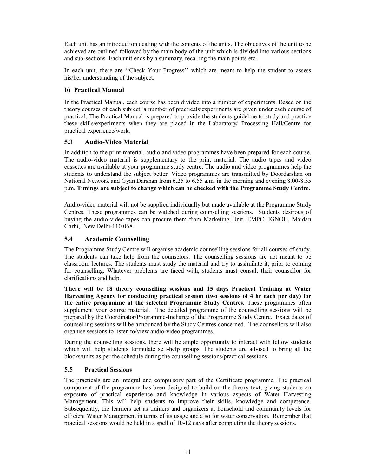Each unit has an introduction dealing with the contents of the units. The objectives of the unit to be achieved are outlined followed by the main body of the unit which is divided into various sections and sub-sections. Each unit ends by a summary, recalling the main points etc.

In each unit, there are "Check Your Progress" which are meant to help the student to assess his/her understanding of the subject.

## **b) Practical Manual**

In the Practical Manual, each course has been divided into a number of experiments. Based on the theory courses of each subject, a number of practicals/experiments are given under each course of practical. The Practical Manual is prepared to provide the students guideline to study and practice these skills/experiments when they are placed in the Laboratory/ Processing Hall/Centre for practical experience/work.

## **5.3 Audio-Video Material**

In addition to the print material, audio and video programmes have been prepared for each course. The audio-video material is supplementary to the print material. The audio tapes and video cassettes are available at your programme study centre. The audio and video programmes help the students to understand the subject better. Video programmes are transmitted by Doordarshan on National Network and Gyan Darshan from 6.25 to 6.55 a.m. in the morning and evening 8.00-8.55 p.m. **Timings are subject to change which can be checked with the Programme Study Centre.** 

Audio-video material will not be supplied individually but made available at the Programme Study Centres. These programmes can be watched during counselling sessions. Students desirous of buying the audio-video tapes can procure them from Marketing Unit, EMPC, IGNOU, Maidan Garhi, New Delhi-110 068.

#### **5.4 Academic Counselling**

The Programme Study Centre will organise academic counselling sessions for all courses of study. The students can take help from the counselors. The counselling sessions are not meant to be classroom lectures. The students must study the material and try to assimilate it, prior to coming for counselling. Whatever problems are faced with, students must consult their counsellor for clarifications and help.

**There will be 18 theory counselling sessions and 15 days Practical Training at Water Harvesting Agency for conducting practical session (two sessions of 4 hr each per day) for the entire programme at the selected Programme Study Centres.** These programmes often supplement your course material. The detailed programme of the counselling sessions will be prepared by the Coordinator/Programme-Incharge of the Programme Study Centre. Exact dates of counselling sessions will be announced by the Study Centres concerned. The counsellors will also organise sessions to listen to/view audio-video programmes.

During the counselling sessions, there will be ample opportunity to interact with fellow students which will help students formulate self-help groups. The students are advised to bring all the blocks/units as per the schedule during the counselling sessions/practical sessions

#### **5.5 Practical Sessions**

The practicals are an integral and compulsory part of the Certificate programme. The practical component of the programme has been designed to build on the theory text, giving students an exposure of practical experience and knowledge in various aspects of Water Harvesting Management. This will help students to improve their skills, knowledge and competence. Subsequently, the learners act as trainers and organizers at household and community levels for efficient Water Management in terms of its usage and also for water conservation. Remember that practical sessions would be held in a spell of 10-12 days after completing the theory sessions.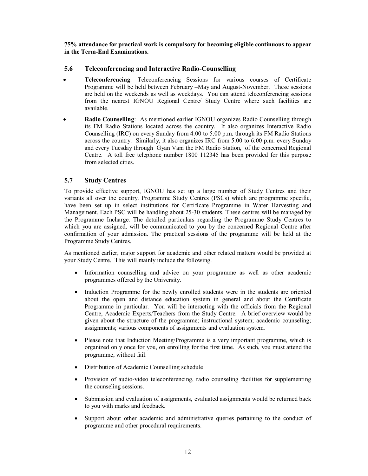**75% attendance for practical work is compulsory for becoming eligible continuous to appear in the Term-End Examinations.**

#### **5.6 Teleconferencing and Interactive Radio-Counselling**

- **Teleconferencing**: Teleconferencing Sessions for various courses of Certificate Programme will be held between February –May and August-November. These sessions are held on the weekends as well as weekdays. You can attend teleconferencing sessions from the nearest IGNOU Regional Centre/ Study Centre where such facilities are available.
- **Radio Counselling**: As mentioned earlier IGNOU organizes Radio Counselling through its FM Radio Stations located across the country. It also organizes Interactive Radio Counselling (IRC) on every Sunday from 4:00 to 5:00 p.m. through its FM Radio Stations across the country. Similarly, it also organizes IRC from 5:00 to 6:00 p.m. every Sunday and every Tuesday through Gyan Vani the FM Radio Station, of the concerned Regional Centre. A toll free telephone number 1800 112345 has been provided for this purpose from selected cities.

## **5.7 Study Centres**

To provide effective support, IGNOU has set up a large number of Study Centres and their variants all over the country. Programme Study Centres (PSCs) which are programme specific, have been set up in select institutions for Certificate Programme in Water Harvesting and Management. Each PSC will be handling about 25-30 students. These centres will be managed by the Programme Incharge. The detailed particulars regarding the Programme Study Centres to which you are assigned, will be communicated to you by the concerned Regional Centre after confirmation of your admission. The practical sessions of the programme will be held at the Programme Study Centres.

As mentioned earlier, major support for academic and other related matters would be provided at your Study Centre. This will mainly include the following.

- Information counselling and advice on your programme as well as other academic programmes offered by the University.
- Induction Programme for the newly enrolled students were in the students are oriented about the open and distance education system in general and about the Certificate Programme in particular. You will be interacting with the officials from the Regional Centre, Academic Experts/Teachers from the Study Centre. A brief overview would be given about the structure of the programme; instructional system; academic counseling; assignments; various components of assignments and evaluation system.
- Please note that Induction Meeting/Programme is a very important programme, which is organized only once for you, on enrolling for the first time. As such, you must attend the programme, without fail.
- Distribution of Academic Counselling schedule
- Provision of audio-video teleconferencing, radio counseling facilities for supplementing the counseling sessions.
- Submission and evaluation of assignments, evaluated assignments would be returned back to you with marks and feedback.
- Support about other academic and administrative queries pertaining to the conduct of programme and other procedural requirements.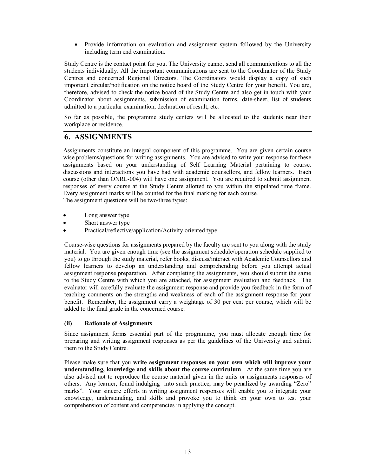Provide information on evaluation and assignment system followed by the University including term end examination.

Study Centre is the contact point for you. The University cannot send all communications to all the students individually. All the important communications are sent to the Coordinator of the Study Centres and concerned Regional Directors. The Coordinators would display a copy of such important circular/notification on the notice board of the Study Centre for your benefit. You are, therefore, advised to check the notice board of the Study Centre and also get in touch with your Coordinator about assignments, submission of examination forms, date-sheet, list of students admitted to a particular examination, declaration of result, etc.

So far as possible, the programme study centers will be allocated to the students near their workplace or residence.

## **6. ASSIGNMENTS**

Assignments constitute an integral component of this programme. You are given certain course wise problems/questions for writing assignments. You are advised to write your response for these assignments based on your understanding of Self Learning Material pertaining to course, discussions and interactions you have had with academic counsellors, and fellow learners. Each course (other than ONRL-004) will have one assignment. You are required to submit assignment responses of every course at the Study Centre allotted to you within the stipulated time frame. Every assignment marks will be counted for the final marking for each course.

The assignment questions will be two/three types:

- Long answer type
- Short answer type
- Practical/reflective/application/Activity oriented type

Course-wise questions for assignments prepared by the faculty are sent to you along with the study material. You are given enough time (see the assignment schedule/operation schedule supplied to you) to go through the study material, refer books, discuss/interact with Academic Counsellors and fellow learners to develop an understanding and comprehending before you attempt actual assignment response preparation. After completing the assignments, you should submit the same to the Study Centre with which you are attached, for assignment evaluation and feedback. The evaluator will carefully evaluate the assignment response and provide you feedback in the form of teaching comments on the strengths and weakness of each of the assignment response for your benefit. Remember, the assignment carry a weightage of 30 per cent per course, which will be added to the final grade in the concerned course.

#### **(ii) Rationale of Assignments**

Since assignment forms essential part of the programme, you must allocate enough time for preparing and writing assignment responses as per the guidelines of the University and submit them to the Study Centre.

Please make sure that you **write assignment responses on your own which will improve your understanding, knowledge and skills about the course curriculum**. At the same time you are also advised not to reproduce the course material given in the units or assignments responses of others. Any learner, found indulging into such practice, may be penalized by awarding "Zero" marks". Your sincere efforts in writing assignment responses will enable you to integrate your knowledge, understanding, and skills and provoke you to think on your own to test your comprehension of content and competencies in applying the concept.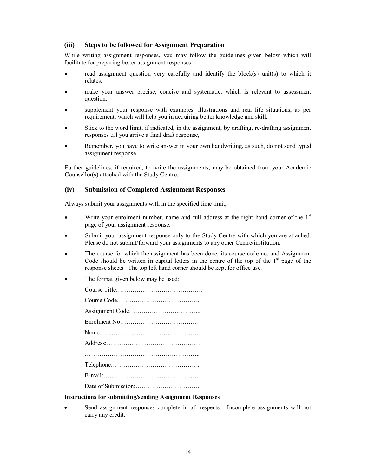#### **(iii) Steps to be followed for Assignment Preparation**

While writing assignment responses, you may follow the guidelines given below which will facilitate for preparing better assignment responses:

- read assignment question very carefully and identify the block(s) unit(s) to which it relates.
- make your answer precise, concise and systematic, which is relevant to assessment question.
- supplement your response with examples, illustrations and real life situations, as per requirement, which will help you in acquiring better knowledge and skill.
- Stick to the word limit, if indicated, in the assignment, by drafting, re-drafting assignment responses till you arrive a final draft response,
- Remember, you have to write answer in your own handwriting, as such, do not send typed assignment response.

Further guidelines, if required, to write the assignments, may be obtained from your Academic Counsellor(s) attached with the Study Centre.

#### **(iv) Submission of Completed Assignment Responses**

Always submit your assignments with in the specified time limit;

- Write your enrolment number, name and full address at the right hand corner of the  $1<sup>st</sup>$ page of your assignment response.
- Submit your assignment response only to the Study Centre with which you are attached. Please do not submit/forward your assignments to any other Centre/institution.
- The course for which the assignment has been done, its course code no. and Assignment Code should be written in capital letters in the centre of the top of the  $1<sup>st</sup>$  page of the response sheets. The top left hand corner should be kept for office use.
- The format given below may be used:

| $Address: \ldots \ldots \ldots \ldots \ldots \ldots \ldots \ldots \ldots \ldots \ldots \ldots \ldots$ |
|-------------------------------------------------------------------------------------------------------|
|                                                                                                       |
|                                                                                                       |
|                                                                                                       |
|                                                                                                       |

#### **Instructions for submitting/sending Assignment Responses**

 Send assignment responses complete in all respects. Incomplete assignments will not carry any credit.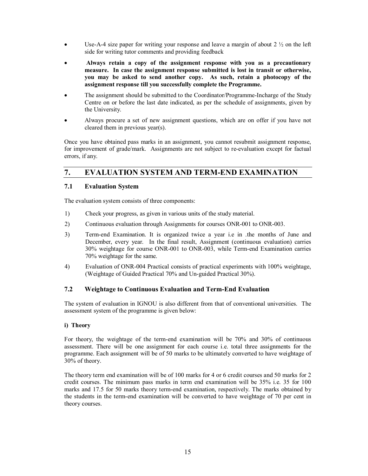- $\bullet$  Use-A-4 size paper for writing your response and leave a margin of about 2  $\frac{1}{2}$  on the left side for writing tutor comments and providing feedback
- **Always retain a copy of the assignment response with you as a precautionary measure. In case the assignment response submitted is lost in transit or otherwise, you may be asked to send another copy. As such, retain a photocopy of the assignment response till you successfully complete the Programme.**
- The assignment should be submitted to the Coordinator/Programme-Incharge of the Study Centre on or before the last date indicated, as per the schedule of assignments, given by the University.
- Always procure a set of new assignment questions, which are on offer if you have not cleared them in previous year(s).

Once you have obtained pass marks in an assignment, you cannot resubmit assignment response, for improvement of grade/mark. Assignments are not subject to re-evaluation except for factual errors, if any.

## **7. EVALUATION SYSTEM AND TERM-END EXAMINATION**

## **7.1 Evaluation System**

The evaluation system consists of three components:

- 1) Check your progress, as given in various units of the study material.
- 2) Continuous evaluation through Assignments for courses ONR-001 to ONR-003.
- 3) Term-end Examination. It is organized twice a year i.e in .the months of June and December, every year. In the final result, Assignment (continuous evaluation) carries 30% weightage for course ONR-001 to ONR-003, while Term-end Examination carries 70% weightage for the same.
- 4) Evaluation of ONR-004 Practical consists of practical experiments with 100% weightage, (Weightage of Guided Practical 70% and Un-guided Practical 30%).

#### **7.2 Weightage to Continuous Evaluation and Term-End Evaluation**

The system of evaluation in IGNOU is also different from that of conventional universities. The assessment system of the programme is given below:

#### **i) Theory**

For theory, the weightage of the term-end examination will be 70% and 30% of continuous assessment. There will be one assignment for each course i.e. total three assignments for the programme. Each assignment will be of 50 marks to be ultimately converted to have weightage of 30% of theory.

The theory term end examination will be of 100 marks for 4 or 6 credit courses and 50 marks for 2 credit courses. The minimum pass marks in term end examination will be 35% i.e. 35 for 100 marks and 17.5 for 50 marks theory term-end examination, respectively. The marks obtained by the students in the term-end examination will be converted to have weightage of 70 per cent in theory courses.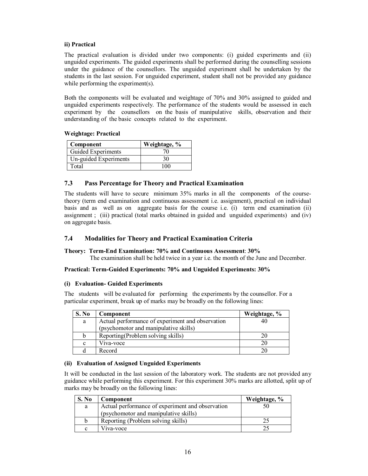#### **ii) Practical**

The practical evaluation is divided under two components: (i) guided experiments and (ii) unguided experiments. The guided experiments shall be performed during the counselling sessions under the guidance of the counsellors. The unguided experiment shall be undertaken by the students in the last session. For unguided experiment, student shall not be provided any guidance while performing the experiment(s).

Both the components will be evaluated and weightage of 70% and 30% assigned to guided and unguided experiments respectively. The performance of the students would be assessed in each experiment by the counsellors on the basis of manipulative skills, observation and their understanding of the basic concepts related to the experiment.

#### **Weightage: Practical**

| Component             | Weightage, % |
|-----------------------|--------------|
| Guided Experiments    |              |
| Un-guided Experiments | 30           |
| Total                 | $^{\circ}$   |

#### **7.3 Pass Percentage for Theory and Practical Examination**

The students will have to secure minimum 35% marks in all the components of the coursetheory (term end examination and continuous assessment i.e. assignment), practical on individual basis and as well as on aggregate basis for the course i.e. (i) term end examination (ii) assignment ; (iii) practical (total marks obtained in guided and unguided experiments) and (iv) on aggregate basis.

#### **7.4 Modalities for Theory and Practical Examination Criteria**

#### **Theory: Term-End Examination: 70% and Continuous Assessment**: **30%**

The examination shall be held twice in a year i.e. the month of the June and December.

#### **Practical: Term-Guided Experiments: 70% and Unguided Experiments: 30%**

#### **(i) Evaluation- Guided Experiments**

The students will be evaluated for performing the experiments by the counsellor. For a particular experiment, break up of marks may be broadly on the following lines:

| S. No       | Component                                        | Weightage, % |
|-------------|--------------------------------------------------|--------------|
| a           | Actual performance of experiment and observation | 40           |
|             | (psychomotor and manipulative skills)            |              |
| b           | Reporting (Problem solving skills)               | 20           |
| $\mathbf c$ | Viva-voce                                        | 20           |
|             | Record                                           |              |

#### **(ii) Evaluation of Assigned Unguided Experiments**

It will be conducted in the last session of the laboratory work. The students are not provided any guidance while performing this experiment. For this experiment 30% marks are allotted, split up of marks may be broadly on the following lines:

| S. No | Component                                        | Weightage, % |
|-------|--------------------------------------------------|--------------|
| a     | Actual performance of experiment and observation | 50           |
|       | (psychomotor and manipulative skills)            |              |
|       | Reporting (Problem solving skills)               |              |
| с     | Viva-voce                                        |              |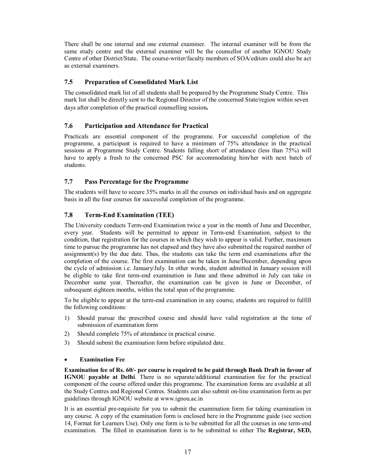There shall be one internal and one external examiner. The internal examiner will be from the same study centre and the external examiner will be the counsellor of another IGNOU Study Centre of other District/State. The course-writer/faculty members of SOA/editors could also be act as external examiners.

## **7.5 Preparation of Consolidated Mark List**

The consolidated mark list of all students shall be prepared by the Programme Study Centre. This mark list shall be directly sent to the Regional Director of the concerned State/region within seven days after completion of the practical counselling session**.**

## **7.6 Participation and Attendance for Practical**

Practicals are essential component of the programme. For successful completion of the programme, a participant is required to have a minimum of 75% attendance in the practical sessions at Programme Study Centre. Students falling short of attendance (less than 75%) will have to apply a fresh to the concerned PSC for accommodating him/her with next batch of students.

## **7.7 Pass Percentage for the Programme**

The students will have to secure 35% marks in all the courses on individual basis and on aggregate basis in all the four courses for successful completion of the programme.

## **7.8 Term-End Examination (TEE)**

The University conducts Term-end Examination twice a year in the month of June and December, every year. Students will be permitted to appear in Term-end Examination, subject to the condition, that registration for the courses in which they wish to appear is valid. Further, maximum time to pursue the programme has not elapsed and they have also submitted the required number of assignment(s) by the due date. Thus, the students can take the term end examinations after the completion of the course. The first examination can be taken in June/December, depending upon the cycle of admission i.e. January/July. In other words, student admitted in January session will be eligible to take first term-end examination in June and those admitted in July can take in December same year. Thereafter, the examination can be given in June or December, of subsequent eighteen months, within the total span of the programme.

To be eligible to appear at the term-end examination in any course, students are required to fulfill the following conditions:

- 1) Should pursue the prescribed course and should have valid registration at the time of submission of examination form
- 2) Should complete 75% of attendance in practical course.
- 3) Should submit the examination form before stipulated date.

#### **Examination Fee**

**Examination fee of Rs. 60/- per course is required to be paid through Bank Draft in favour of IGNOU payable at Delhi**. There is no separate/additional examination fee for the practical component of the course offered under this programme. The examination forms are available at all the Study Centres and Regional Centres. Students can also submit on-line examination form as per guidelines through IGNOU website at www.ignou.ac.in

It is an essential pre-requisite for you to submit the examination form for taking examination in any course. A copy of the examination form is enclosed here in the Programme guide (see section 14, Format for Learners Use). Only one form is to be submitted for all the courses in one term-end examination. The filled in examina[tion form is to be](http://www.ignou.ac.in/) submitted to either The **Registrar, SED,**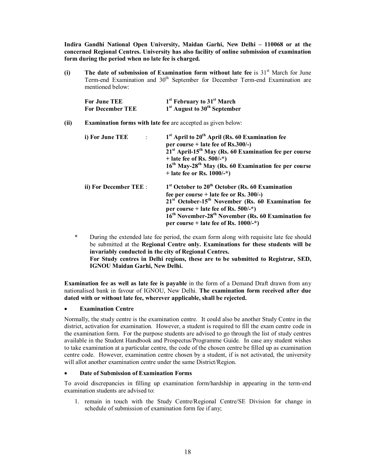**Indira Gandhi National Open University, Maidan Garhi, New Delhi – 110068 or at the concerned Regional Centres. University has also facility of online submission of examination form during the period when no late fee is charged.**

**(i) The date of submission of Examination form without late fee** is 31<sup>st</sup> March for June Term-end Examination and 30<sup>th</sup> September for December Term-end Examination are mentioned below:

| For June TEE            | <sup>1st</sup> February to 31 <sup>st</sup> March    |
|-------------------------|------------------------------------------------------|
| <b>For December TEE</b> | 1 <sup>st</sup> August to 30 <sup>th</sup> September |

#### **(ii) Examination forms with late fee** are accepted as given below:

| i) For June TEE<br>$\mathcal{A}$ | $1st$ April to $20th$ April (Rs. 60 Examination fee<br>per course + late fee of $\text{Rs.}300/-$ )<br>$21st$ April-15 <sup>th</sup> May (Rs. 60 Examination fee per course<br>+ late fee of Rs. $500/-$ *)<br>16 <sup>th</sup> May-28 <sup>th</sup> May (Rs. 60 Examination fee per course<br>+ late fee or Rs. $1000/-$ *)                |
|----------------------------------|---------------------------------------------------------------------------------------------------------------------------------------------------------------------------------------------------------------------------------------------------------------------------------------------------------------------------------------------|
| ii) For December TEE:            | $1st$ October to $20th$ October (Rs. 60 Examination<br>fee per course + late fee or Rs. $300/-$ )<br>$21st$ October-15 <sup>th</sup> November (Rs. 60 Examination fee<br>per course + late fee of Rs. $500/-$ *)<br>16 <sup>th</sup> November-28 <sup>th</sup> November (Rs. 60 Examination fee<br>per course + late fee of Rs. $1000/-$ *) |

**\*** During the extended late fee period, the exam form along with requisite late fee should be submitted at the **Regional Centre only. Examinations for these students will be invariably conducted in the city of Regional Centres. For Study centres in Delhi regions, these are to be submitted to Registrar, SED, IGNOU Maidan Garhi, New Delhi.**

**Examination fee as well as late fee is payable** in the form of a Demand Draft drawn from any nationalised bank in favour of IGNOU, New Delhi. **The examination form received after due dated with or without late fee, wherever applicable, shall be rejected.**

#### **Examination Centre**

Normally, the study centre is the examination centre. It could also be another Study Centre in the district, activation for examination. However, a student is required to fill the exam centre code in the examination form. For the purpose students are advised to go through the list of study centres available in the Student Handbook and Prospectus/Programme Guide. In case any student wishes to take examination at a particular centre, the code of the chosen centre be filled up as examination centre code. However, examination centre chosen by a student, if is not activated, the university will allot another examination centre under the same District/Region.

#### **Date of Submission of Examination Forms**

To avoid discrepancies in filling up examination form/hardship in appearing in the term-end examination students are advised to:

1. remain in touch with the Study Centre/Regional Centre/SE Division for change in schedule of submission of examination form fee if any;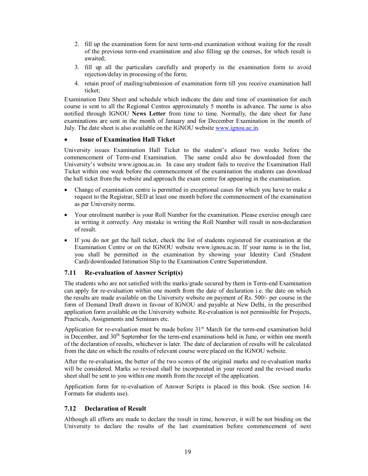- 2. fill up the examination form for next term-end examination without waiting for the result of the previous term-end examination and also filling up the courses, for which result is awaited;
- 3. fill up all the particulars carefully and properly in the examination form to avoid rejection/delay in processing of the form;
- 4. retain proof of mailing/submission of examination form till you receive examination hall ticket;

Examination Date Sheet and schedule which indicate the date and time of examination for each course is sent to all the Regional Centres approximately 5 months in advance. The same is also notified through IGNOU **News Letter** from time to time. Normally, the date sheet for June examinations are sent in the month of January and for December Examination in the month of July. The date sheet is also available on the IGNOU website www.ignou.ac.in.

#### **Issue of Examination Hall Ticket**

University issues Examination Hall Ticket to the student's atleast two weeks before the commencement of Term-end Examination. The same could also be downloaded from the University's website www.ignou.ac.in. In case any student fails to receive the Examination Hall Ticket within one week before the commencement of the examination the students can download the hall ticket fro[m the website and a](http://www.ignou.ac.in/)pproach the exam centre for appearing in the examination.

- Change of examination centre is permitted in exceptional cases for which you have to make a request to the Registrar, SED at least one month before the commencement of the examination as per University norms.
- Your enrolment number is your Roll Number for the examination. Please exercise enough care in writing it correctly. Any mistake in writing the Roll Number will result in non-declaration of result.
- If you do not get the hall ticket, check the list of students registered for examination at the Examination Centre or on the IGNOU website www.ignou.ac.in. If your name is in the list, you shall be permitted in the examination by showing your Identity Card (Student Card)/downloaded Intimation Slip to the Examination Centre Superintendent.

#### **7.11 Re-evaluation of Answer Script(s)**

The students who are not satisfied with the marks/grade secured by them in Term-end Examination can apply for re-evaluation within one month from the date of declaration i.e. the date on which the results are made available on the University website on payment of Rs. 500/- per course in the form of Demand Draft drawn in favour of IGNOU and payable at New Delhi, in the prescribed application form available on the University website. Re-evaluation is not permissible for Projects, Practicals, Assignments and Seminars etc.

Application for re-evaluation must be made before  $31<sup>st</sup>$  March for the term-end examination held in December, and 30<sup>th</sup> September for the term-end examinations held in June, or within one month of the declaration of results, whichever is later. The date of declaration of results will be calculated from the date on which the results of relevant course were placed on the IGNOU website.

After the re-evaluation, the better of the two scores of the original marks and re-evaluation marks will be considered. Marks so revised shall be incorporated in your record and the revised marks sheet shall be sent to you within one month from the receipt of the application.

Application form for re-evaluation of Answer Scripts is placed in this book. (See section 14- Formats for students use).

#### **7.12 Declaration of Result**

Although all efforts are made to declare the result in time, however, it will be not binding on the University to declare the results of the last examination before commencement of next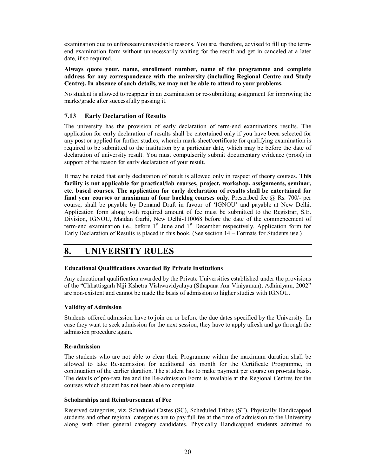examination due to unforeseen/unavoidable reasons. You are, therefore, advised to fill up the termend examination form without unnecessarily waiting for the result and get in canceled at a later date, if so required.

**Always quote your, name, enrollment number, name of the programme and complete address for any correspondence with the university (including Regional Centre and Study Centre). In absence of such details, we may not be able to attend to your problems.**

No student is allowed to reappear in an examination or re-submitting assignment for improving the marks/grade after successfully passing it.

#### **7.13 Early Declaration of Results**

The university has the provision of early declaration of term-end examinations results. The application for early declaration of results shall be entertained only if you have been selected for any post or applied for further studies, wherein mark-sheet/certificate for qualifying examination is required to be submitted to the institution by a particular date, which may be before the date of declaration of university result. You must compulsorily submit documentary evidence (proof) in support of the reason for early declaration of your result.

It may be noted that early declaration of result is allowed only in respect of theory courses. **This facility is not applicable for practical/lab courses, project, workshop, assignments, seminar, etc. based courses. The application for early declaration of results shall be entertained for final year courses or maximum of four backlog courses only.** Prescribed fee  $\omega$  Rs. 700/- per course, shall be payable by Demand Draft in favour of 'IGNOU' and payable at New Delhi. Application form along with required amount of fee must be submitted to the Registrar, S.E. Division, IGNOU, Maidan Garhi, New Delhi-110068 before the date of the commencement of term-end examination i.e., before 1<sup>st</sup> June and 1<sup>st</sup> December respectively. Application form for Early Declaration of Results is placed in this book. (See section 14 – Formats for Students use.)

# **8. UNIVERSITY RULES**

#### **Educational Qualifications Awarded By Private Institutions**

Any educational qualification awarded by the Private Universities established under the provisions of the "Chhattisgarh Niji Kshetra Vishwavidyalaya (Sthapana Aur Viniyaman), Adhiniyam, 2002" are non-existent and cannot be made the basis of admission to higher studies with IGNOU.

#### **Validity of Admission**

Students offered admission have to join on or before the due dates specified by the University. In case they want to seek admission for the next session, they have to apply afresh and go through the admission procedure again.

#### **Re-admission**

The students who are not able to clear their Programme within the maximum duration shall be allowed to take Re-admission for additional six month for the Certificate Programme, in continuation of the earlier duration. The student has to make payment per course on pro-rata basis. The details of pro-rata fee and the Re-admission Form is available at the Regional Centres for the courses which student has not been able to complete.

#### **Scholarships and Reimbursement of Fee**

Reserved categories, viz. Scheduled Castes (SC), Scheduled Tribes (ST), Physically Handicapped students and other regional categories are to pay full fee at the time of admission to the University along with other general category candidates. Physically Handicapped students admitted to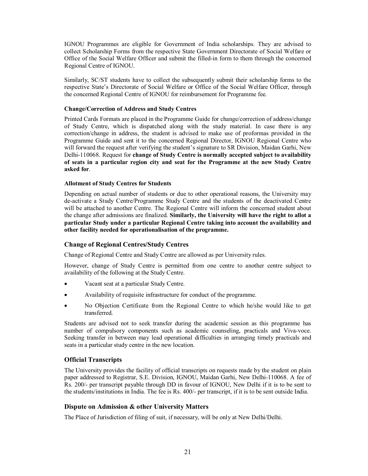IGNOU Programmes are eligible for Government of India scholarships. They are advised to collect Scholarship Forms from the respective State Government Directorate of Social Welfare or Office of the Social Welfare Officer and submit the filled-in form to them through the concerned Regional Centre of IGNOU.

Similarly, SC/ST students have to collect the subsequently submit their scholarship forms to the respective State's Directorate of Social Welfare or Office of the Social Welfare Officer, through the concerned Regional Centre of IGNOU for reimbursement for Programme fee.

#### **Change/Correction of Address and Study Centres**

Printed Cards Formats are placed in the Programme Guide for change/correction of address/change of Study Centre, which is dispatched along with the study material. In case there is any correction/change in address, the student is advised to make use of proformas provided in the Programme Guide and sent it to the concerned Regional Director, IGNOU Regional Centre who will forward the request after verifying the student's signature to SR Division, Maidan Garhi, New Delhi-110068. Request for **change of Study Centre is normally accepted subject to availability of seats in a particular region city and seat for the Programme at the new Study Centre asked for**.

#### **Allotment of Study Centres for Students**

Depending on actual number of students or due to other operational reasons, the University may de-activate a Study Centre/Programme Study Centre and the students of the deactivated Centre will be attached to another Centre. The Regional Centre will inform the concerned student about the change after admissions are finalized. **Similarly, the University will have the right to allot a particular Study under a particular Regional Centre taking into account the availability and other facility needed for operationalisation of the programme.** 

#### **Change of Regional Centres/Study Centres**

Change of Regional Centre and Study Centre are allowed as per University rules.

However, change of Study Centre is permitted from one centre to another centre subject to availability of the following at the Study Centre.

- Vacant seat at a particular Study Centre.
- Availability of requisite infrastructure for conduct of the programme.
- No Objection Certificate from the Regional Centre to which he/she would like to get transferred.

Students are advised not to seek transfer during the academic session as this programme has number of compulsory components such as academic counseling, practicals and Viva-voce. Seeking transfer in between may lead operational difficulties in arranging timely practicals and seats in a particular study centre in the new location.

#### **Official Transcripts**

The University provides the facility of official transcripts on requests made by the student on plain paper addressed to Registrar, S.E. Division, IGNOU, Maidan Garhi, New Delhi-110068. A fee of Rs. 200/- per transcript payable through DD in favour of IGNOU, New Delhi if it is to be sent to the students/institutions in India. The fee is Rs. 400/- per transcript, if it is to be sent outside India.

#### **Dispute on Admission & other University Matters**

The Place of Jurisdiction of filing of suit, if necessary, will be only at New Delhi/Delhi.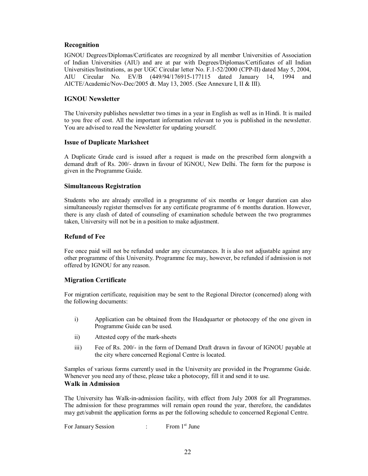#### **Recognition**

IGNOU Degrees/Diplomas/Certificates are recognized by all member Universities of Association of Indian Universities (AIU) and are at par with Degrees/Diplomas/Certificates of all Indian Universities/Institutions, as per UGC Circular letter No. F.1-52/2000 (CPP-II) dated May 5, 2004, AIU Circular No. EV/B (449/94/176915-177115 dated January 14, 1994 and AICTE/Academic/Nov-Dec/2005 dt. May 13, 2005. (See Annexure I, II & III).

#### **IGNOU Newsletter**

The University publishes newsletter two times in a year in English as well as in Hindi. It is mailed to you free of cost. All the important information relevant to you is published in the newsletter. You are advised to read the Newsletter for updating yourself.

#### **Issue of Duplicate Marksheet**

A Duplicate Grade card is issued after a request is made on the prescribed form alongwith a demand draft of Rs. 200/- drawn in favour of IGNOU, New Delhi. The form for the purpose is given in the Programme Guide.

#### **Simultaneous Registration**

Students who are already enrolled in a programme of six months or longer duration can also simultaneously register themselves for any certificate programme of 6 months duration. However, there is any clash of dated of counseling of examination schedule between the two programmes taken, University will not be in a position to make adjustment.

#### **Refund of Fee**

Fee once paid will not be refunded under any circumstances. It is also not adjustable against any other programme of this University. Programme fee may, however, be refunded if admission is not offered by IGNOU for any reason.

#### **Migration Certificate**

For migration certificate, requisition may be sent to the Regional Director (concerned) along with the following documents:

- i) Application can be obtained from the Headquarter or photocopy of the one given in Programme Guide can be used.
- ii) Attested copy of the mark-sheets
- iii) Fee of Rs. 200/- in the form of Demand Draft drawn in favour of IGNOU payable at the city where concerned Regional Centre is located.

Samples of various forms currently used in the University are provided in the Programme Guide. Whenever you need any of these, please take a photocopy, fill it and send it to use. **Walk in Admission**

The University has Walk-in-admission facility, with effect from July 2008 for all Programmes. The admission for these programmes will remain open round the year, therefore, the candidates may get/submit the application forms as per the following schedule to concerned Regional Centre.

For January Session : From 1<sup>st</sup> June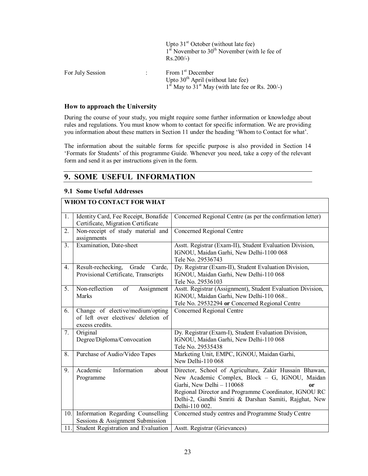|                  | Upto $31st$ October (without late fee)<br>$1st$ November to $30th$ November (with le fee of<br>$Rs.200/-$ )                   |
|------------------|-------------------------------------------------------------------------------------------------------------------------------|
| For July Session | From 1 <sup>st</sup> December<br>Upto $30th$ April (without late fee)<br>$1st$ May to $31st$ May (with late fee or Rs. 200/-) |

#### **How to approach the University**

During the course of your study, you might require some further information or knowledge about rules and regulations. You must know whom to contact for specific information. We are providing you information about these matters in Section 11 under the heading 'Whom to Contact for what'.

The information about the suitable forms for specific purpose is also provided in Section 14 'Formats for Students' of this programme Guide. Whenever you need, take a copy of the relevant form and send it as per instructions given in the form.

## **9. SOME USEFUL INFORMATION**

#### **9.1 Some Useful Addresses**

# **WHOM TO CONTACT FOR WHAT**

| $1_{\cdot}$ | Identity Card, Fee Receipt, Bonafide | Concerned Regional Centre (as per the confirmation letter)  |
|-------------|--------------------------------------|-------------------------------------------------------------|
|             | Certificate, Migration Certificate   |                                                             |
| 2.          | Non-receipt of study material and    | Concerned Regional Centre                                   |
|             | assignments                          |                                                             |
| 3.          | Examination, Date-sheet              | Asstt. Registrar (Exam-II), Student Evaluation Division,    |
|             |                                      | IGNOU, Maidan Garhi, New Delhi-1100 068                     |
|             |                                      | Tele No. 29536743                                           |
| 4.          | Result-rechecking, Grade Carde,      | Dy. Registrar (Exam-II), Student Evaluation Division,       |
|             | Provisional Certificate, Transcripts | IGNOU, Maidan Garhi, New Delhi-110 068                      |
|             |                                      | Tele No. 29536103                                           |
| 5.          | Non-reflection<br>of<br>Assignment   | Asstt. Registrar (Assignment), Student Evaluation Division, |
|             | Marks                                | IGNOU, Maidan Garhi, New Delhi-110 068                      |
|             |                                      | Tele No. 29532294 or Concerned Regional Centre              |
| 6.          | Change of elective/medium/opting     | Concerned Regional Centre                                   |
|             | of left over electives/ deletion of  |                                                             |
|             | excess credits.                      |                                                             |
| 7.          | Original                             | Dy. Registrar (Exam-I), Student Evaluation Division,        |
|             | Degree/Diploma/Convocation           | IGNOU, Maidan Garhi, New Delhi-110 068                      |
|             |                                      | Tele No. 29535438                                           |
| 8.          | Purchase of Audio/Video Tapes        | Marketing Unit, EMPC, IGNOU, Maidan Garhi,                  |
|             |                                      | New Delhi-110 068                                           |
| 9.          | Academic<br>Information<br>about     | Director, School of Agriculture, Zakir Hussain Bhawan,      |
|             | Programme                            | New Academic Complex, Block - G, IGNOU, Maidan              |
|             |                                      | Garhi, New Delhi - 110068<br>or                             |
|             |                                      | Regional Director and Programme Coordinator, IGNOU RC       |
|             |                                      | Delhi-2, Gandhi Smriti & Darshan Samiti, Rajghat, New       |
|             |                                      | Delhi-110 002.                                              |
| 10.         | Information Regarding Counselling    | Concerned study centres and Programme Study Centre          |
|             | Sessions & Assignment Submission     |                                                             |
| 11.         | Student Registration and Evaluation  | Asstt. Registrar (Grievances)                               |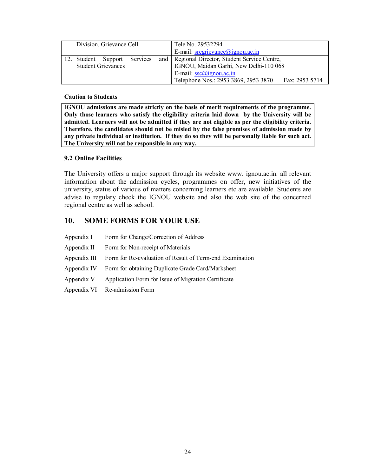| Division, Grievance Cell     |  | Tele No. 29532294 |                                                        |  |
|------------------------------|--|-------------------|--------------------------------------------------------|--|
|                              |  |                   | E-mail: $s$ regrievance@ignou.ac.in                    |  |
| 12. Student Support Services |  |                   | and   Regional Director, Student Service Centre,       |  |
| <b>Student Grievances</b>    |  |                   | IGNOU, Maidan Garhi, New Delhi-110 068                 |  |
|                              |  |                   | E-mail: $\frac{\text{csc}(a)}{\text{c}}$               |  |
|                              |  |                   | Telephone Nos.: 2953 3869, 2953 3870<br>Fax: 2953 5714 |  |

**Caution to Students**

I**GNOU admissions are made strictly on the basis of merit requirements of the programme. Only those learners who satisfy the eligibility criteria laid down by the University will be admitted. Learners will not be admitted if they are not eligible as per the eligibility criteria. Therefore, the candidates should not be misled by the false promises of admission made by any private individual or institution. If they do so they will be personally liable for such act. The University will not be responsible in any way.**

## **9.2 Online Facilities**

The University offers a major support through its website www. ignou.ac.in. all relevant information about the admission cycles, programmes on offer, new initiatives of the university, status of various of matters concerning learners etc are available. Students are advise to regulary check the IGNOU website and also the web site of the concerned regional centre as well as school.

# **10. SOME FORMS FOR YOUR USE**

| Appendix I |  | Form for Change/Correction of Address |
|------------|--|---------------------------------------|
|            |  |                                       |

- Appendix II Form for Non-receipt of Materials
- Appendix III Form for Re-evaluation of Result of Term-end Examination
- Appendix IV Form for obtaining Duplicate Grade Card/Marksheet
- Appendix V Application Form for Issue of Migration Certificate
- Appendix VI Re-admission Form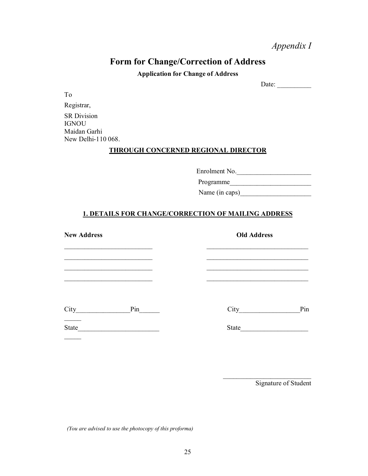# *Appendix I*

# **Form for Change/Correction of Address**

**Application for Change of Address**

Date:  $\frac{2}{\sqrt{2\pi}}$ 

To

Registrar, SR Division **IGNOU** Maidan Garhi New Delhi-110 068.

## **THROUGH CONCERNED REGIONAL DIRECTOR**

Enrolment No.

Programme\_\_\_\_\_\_\_\_\_\_\_\_\_\_\_\_\_\_\_\_\_\_\_\_

Name (in caps)

## **1. DETAILS FOR CHANGE/CORRECTION OF MAILING ADDRESS**

**New Address Old Address** \_\_\_\_\_\_\_\_\_\_\_\_\_\_\_\_\_\_\_\_\_\_\_\_\_\_ \_\_\_\_\_\_\_\_\_\_\_\_\_\_\_\_\_\_\_\_\_\_\_\_\_\_\_\_\_\_ \_\_\_\_\_\_\_\_\_\_\_\_\_\_\_\_\_\_\_\_\_\_\_\_\_\_ \_\_\_\_\_\_\_\_\_\_\_\_\_\_\_\_\_\_\_\_\_\_\_\_\_\_\_\_\_\_ \_\_\_\_\_\_\_\_\_\_\_\_\_\_\_\_\_\_\_\_\_\_\_\_\_\_ \_\_\_\_\_\_\_\_\_\_\_\_\_\_\_\_\_\_\_\_\_\_\_\_\_\_\_\_\_\_ \_\_\_\_\_\_\_\_\_\_\_\_\_\_\_\_\_\_\_\_\_\_\_\_\_\_ \_\_\_\_\_\_\_\_\_\_\_\_\_\_\_\_\_\_\_\_\_\_\_\_\_\_\_\_\_\_ City\_\_\_\_\_\_\_\_\_\_\_\_\_\_\_\_Pin\_\_\_\_\_\_ City\_\_\_\_\_\_\_\_\_\_\_\_\_\_\_\_\_\_Pin  $\mathcal{L}_\mathcal{L}$ State\_\_\_\_\_\_\_\_\_\_\_\_\_\_\_\_\_\_\_\_\_\_\_\_ State\_\_\_\_\_\_\_\_\_\_\_\_\_\_\_\_\_\_\_\_  $\overline{\phantom{a}}$ 

Signature of Student

\_\_\_\_\_\_\_\_\_\_\_\_\_\_\_\_\_\_\_\_\_\_\_\_\_\_

*(You are advised to use the photocopy of this proforma)*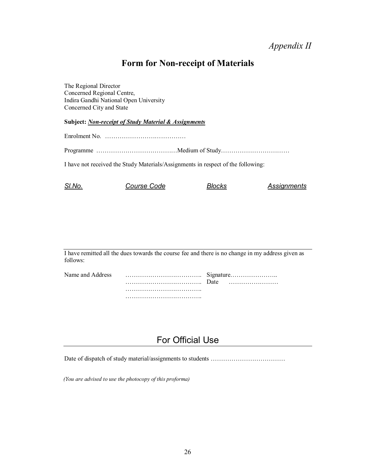# **Form for Non-receipt of Materials**

The Regional Director Concerned Regional Centre, Indira Gandhi National Open University Concerned City and State

**Subject:** *Non-receipt of Study Material & Assignments*

Enrolment No. …………………………………

Programme …………………………………Medium of Study……………………………

I have not received the Study Materials/Assignments in respect of the following:

| SI.No. | <i>Course Code</i> | Blocks | Assignments |
|--------|--------------------|--------|-------------|
|--------|--------------------|--------|-------------|

I have remitted all the dues towards the course fee and there is no change in my address given as follows:

| Name and Address |  |  |
|------------------|--|--|
|                  |  |  |
|                  |  |  |
|                  |  |  |

# For Official Use

Date of dispatch of study material/assignments to students ………………………………

*(You are advised to use the photocopy of this proforma)*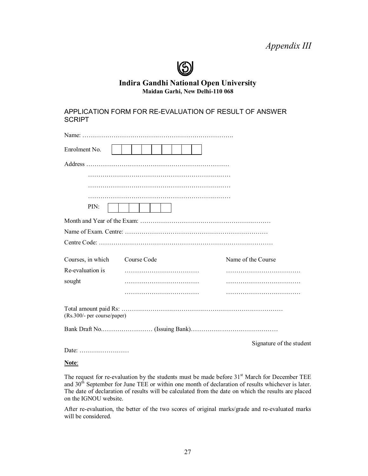# $\odot$

## **Indira Gandhi National Open University Maidan Garhi, New Delhi-110 068**

APPLICATION FORM FOR RE-EVALUATION OF RESULT OF ANSWER **SCRIPT** 

| Enrolment No.               |             |                          |
|-----------------------------|-------------|--------------------------|
|                             |             |                          |
|                             |             |                          |
|                             |             |                          |
|                             |             |                          |
| PIN:                        |             |                          |
|                             |             |                          |
|                             |             |                          |
|                             |             |                          |
| Courses, in which           | Course Code | Name of the Course       |
| Re-evaluation is            |             |                          |
| sought                      |             |                          |
|                             |             |                          |
| (Rs.300/- per course/paper) |             |                          |
|                             |             |                          |
|                             |             | Signature of the student |

Date: ……………………

#### **Note**:

The request for re-evaluation by the students must be made before  $31<sup>st</sup>$  March for December TEE and 30<sup>th</sup> September for June TEE or within one month of declaration of results whichever is later. The date of declaration of results will be calculated from the date on which the results are placed on the IGNOU website.

After re-evaluation, the better of the two scores of original marks/grade and re-evaluated marks will be considered.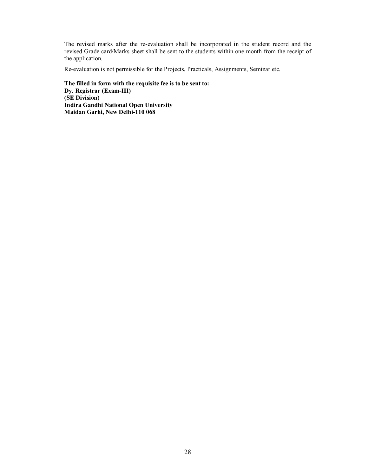The revised marks after the re-evaluation shall be incorporated in the student record and the revised Grade card/Marks sheet shall be sent to the students within one month from the receipt of the application.

Re-evaluation is not permissible for the Projects, Practicals, Assignments, Seminar etc.

**The filled in form with the requisite fee is to be sent to: Dy. Registrar (Exam-III) (SE Division) Indira Gandhi National Open University Maidan Garhi, New Delhi-110 068**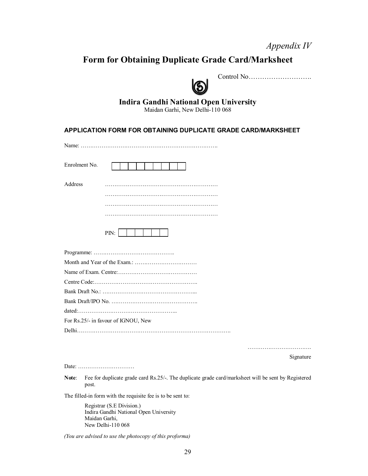# *Appendix IV*

# **Form for Obtaining Duplicate Grade Card/Marksheet**



## Control No……………………….

## **Indira Gandhi National Open University**

Maidan Garhi, New Delhi-110 068

## **APPLICATION FORM FOR OBTAINING DUPLICATE GRADE CARD/MARKSHEET**

Name: ……………………………………………………………….

| Enrolment No.  |      |
|----------------|------|
| <b>Address</b> |      |
|                |      |
|                |      |
|                | . .  |
|                | PIN: |

| Bank Draft/IPO No. $\ldots$ $\ldots$ $\ldots$ $\ldots$ $\ldots$ $\ldots$ $\ldots$ $\ldots$ |
|--------------------------------------------------------------------------------------------|
| data1                                                                                      |
| For Rs.25/- in favour of IGNOU, New                                                        |
|                                                                                            |

……………………………………

Signature

Date: …………………………

Note: Fee for duplicate grade card Rs.25/-. The duplicate grade card/marksheet will be sent by Registered post.

The filled-in form with the requisite fee is to be sent to:

Registrar (S.E Division.) Indira Gandhi National Open University Maidan Garhi, New Delhi-110 068

*(You are advised to use the photocopy of this proforma)*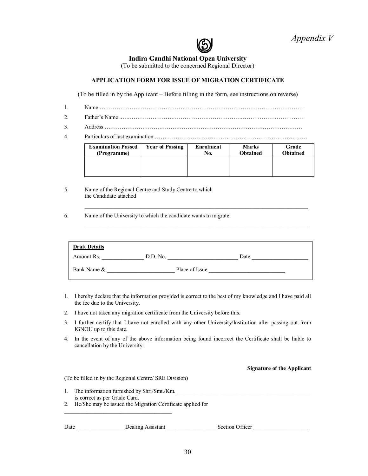

#### **Indira Gandhi National Open University**

(To be submitted to the concerned Regional Director)

#### **APPLICATION FORM FOR ISSUE OF MIGRATION CERTIFICATE**

(To be filled in by the Applicant – Before filling in the form, see instructions on reverse)

- 1. Name ………………………………………………………………………………………………
- 2. Father's Name ..……………………………………………………………………………………
- 3. Address ……………………………………………………………………………………………
- 4. Particulars of last examination ………………………………………………………………………

| <b>Examination Passed</b> | <b>Year of Passing</b> | <b>Enrolment</b> | <b>Marks</b> | Grade    |
|---------------------------|------------------------|------------------|--------------|----------|
| (Programme)               |                        | No.              | Obtained     | Obtained |
|                           |                        |                  |              |          |

 $\_$  ,  $\_$  ,  $\_$  ,  $\_$  ,  $\_$  ,  $\_$  ,  $\_$  ,  $\_$  ,  $\_$  ,  $\_$  ,  $\_$  ,  $\_$  ,  $\_$  ,  $\_$  ,  $\_$  ,  $\_$  ,  $\_$  ,  $\_$  ,  $\_$  ,  $\_$ 

 $\_$  ,  $\_$  ,  $\_$  ,  $\_$  ,  $\_$  ,  $\_$  ,  $\_$  ,  $\_$  ,  $\_$  ,  $\_$  ,  $\_$  ,  $\_$  ,  $\_$  ,  $\_$  ,  $\_$  ,  $\_$  ,  $\_$  ,  $\_$  ,  $\_$  ,  $\_$ 

- 5. Name of the Regional Centre and Study Centre to which the Candidate attached
- 6. Name of the University to which the candidate wants to migrate

| <b>Draft Details</b> |                |      |
|----------------------|----------------|------|
| Amount Rs.           | D.D. No.       | Date |
| Bank Name &          | Place of Issue |      |

- 1. I hereby declare that the information provided is correct to the best of my knowledge and I have paid all the fee due to the University.
- 2. I have not taken any migration certificate from the University before this.
- 3. I further certify that I have not enrolled with any other University/Institution after passing out from IGNOU up to this date.
- 4. In the event of any of the above information being found incorrect the Certificate shall be liable to cancellation by the University.

**Signature of the Applicant**

(To be filled in by the Regional Centre/ SRE Division)

\_\_\_\_\_\_\_\_\_\_\_\_\_\_\_\_\_\_\_\_\_\_\_\_\_\_\_\_\_\_\_\_\_\_\_\_\_\_

1. The information furnished by Shri/Smt./Km. is correct as per Grade Card. 2. He/She may be issued the Migration Certificate applied for

Date \_\_\_\_\_\_\_\_\_\_\_\_\_\_\_\_\_Dealing Assistant \_\_\_\_\_\_\_\_\_\_\_\_\_\_\_\_\_\_Section Officer \_\_\_\_\_\_\_\_\_\_\_\_\_\_\_\_\_\_\_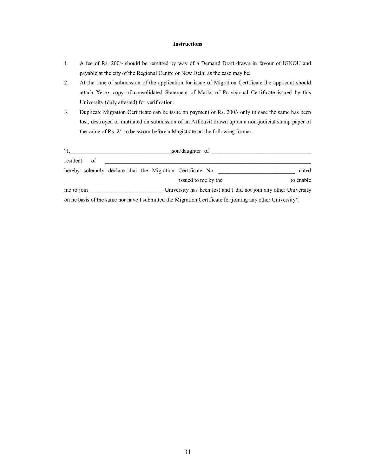#### **Instructions**

- 1. A fee of Rs. 200/- should be remitted by way of a Demand Draft drawn in favour of IGNOU and payable at the city of the Regional Centre or New Delhi as the case may be.
- 2. At the time of submission of the application for issue of Migration Certificate the applicant should attach Xerox copy of consolidated Statement of Marks of Provisional Certificate issued by this University (duly attested) for verification.
- 3. Duplicate Migration Certificate can be issue on payment of Rs. 200/- only in case the same has been lost, destroyed or mutilated on submission of an Affidavit drawn up on a non-judicial stamp paper of the value of Rs. 2/- to be sworn before a Magistrate on the following format.

|             | son/daughter of |  |  |  |                                                                                                           |           |
|-------------|-----------------|--|--|--|-----------------------------------------------------------------------------------------------------------|-----------|
| resident of |                 |  |  |  |                                                                                                           |           |
|             |                 |  |  |  | hereby solemnly declare that the Migration Certificate No.                                                | dated     |
|             |                 |  |  |  | issued to me by the                                                                                       | to enable |
| me to join  |                 |  |  |  | University has been lost and I did not join any other University                                          |           |
|             |                 |  |  |  | on he basis of the same nor have I submitted the Migration Certificate for joining any other University". |           |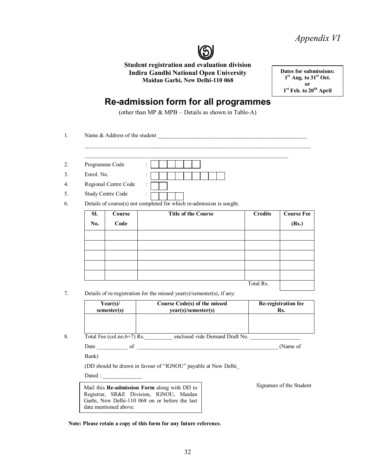*Appendix VI*



**Student registration and evaluation division Indira Gandhi National Open University Maidan Garhi, New Delhi-110 068**

**Dates for submissions: 1st Aug. to 31st Oct. or 1st Feb. to 20th April**

# **Re-admission form for all programmes**

(other than MP & MPB – Details as shown in Table-A)

1. Name & Address of the student  $\Box$  $\_$  ,  $\_$  ,  $\_$  ,  $\_$  ,  $\_$  ,  $\_$  ,  $\_$  ,  $\_$  ,  $\_$  ,  $\_$  ,  $\_$  ,  $\_$  ,  $\_$  ,  $\_$  ,  $\_$  ,  $\_$  ,  $\_$  ,  $\_$  ,  $\_$  ,  $\_$  $\_$  , and the set of the set of the set of the set of the set of the set of the set of the set of the set of the set of the set of the set of the set of the set of the set of the set of the set of the set of the set of th 2. Programme Code : 3. **Enrol.** No. 4. Regional Centre Code : 5. Study Centre Code :

6. Details of course(s) not completed for which re-admission is sought.

| SI.        | Course | <b>Title of the Course</b> | <b>Credits</b> | <b>Course Fee</b> |
|------------|--------|----------------------------|----------------|-------------------|
| <b>No.</b> | Code   |                            |                | (Rs.)             |
|            |        |                            |                |                   |
|            |        |                            |                |                   |
|            |        |                            |                |                   |
|            |        |                            |                |                   |
|            |        |                            |                |                   |
|            |        |                            | Total Rs.      |                   |

7. Details of re-registration for the missed year(s)/semester(s), if any:

| Year(s)     | Course Code(s) of the missed | Re-registration fee |
|-------------|------------------------------|---------------------|
| semester(s) | vear(s)/semester(s)          | Ks.                 |
|             |                              |                     |

8. Total Fee  $\left(\text{col} \cdot \text{no.6+7}\right)$  Rs. enclosed vide Demand Draft No.

Date \_\_\_\_\_\_\_\_\_\_\_ of \_\_\_\_\_\_\_\_\_\_\_\_\_\_\_\_\_\_\_\_\_\_\_\_\_\_\_\_\_\_\_\_\_\_\_\_\_\_\_\_\_\_\_\_\_\_\_\_\_\_ (Name of

Bank)

(DD should be drawn in favour of "IGNOU" payable at New Delhi\_

Dated : \_\_\_\_\_\_\_\_\_\_\_\_\_\_

Mail this **Re-admission Form** along with DD to Registrar, SR&E Division, IGNOU, Maidan Garhi, New Delhi-110 068 on or before the last date mentioned above.

Signature of the Student

**Note: Please retain a copy of this form for any future reference.**